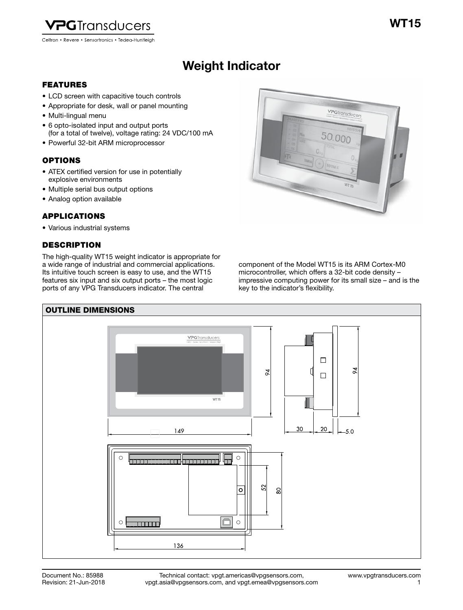

## Weight Indicator Weight Indicator

## FEATURES

- LCD screen with capacitive touch controls
- Appropriate for desk, wall or panel mounting
- Multi-lingual menu
- 6 opto-isolated input and output ports (for a total of twelve), voltage rating: 24 VDC/100 mA
- Powerful 32-bit ARM microprocessor

## **OPTIONS**

- ATEX certified version for use in potentially explosive environments
- Multiple serial bus output options
- Analog option available

## APPLICATIONS

• Various industrial systems

## **DESCRIPTION**

The high-quality WT15 weight indicator is appropriate for a wide range of industrial and commercial applications. Its intuitive touch screen is easy to use, and the WT15 features six input and six output ports – the most logic ports of any VPG Transducers indicator. The central



component of the Model WT15 is its ARM Cortex-M0 microcontroller, which offers a 32-bit code density – impressive computing power for its small size – and is the key to the indicator's flexibility.

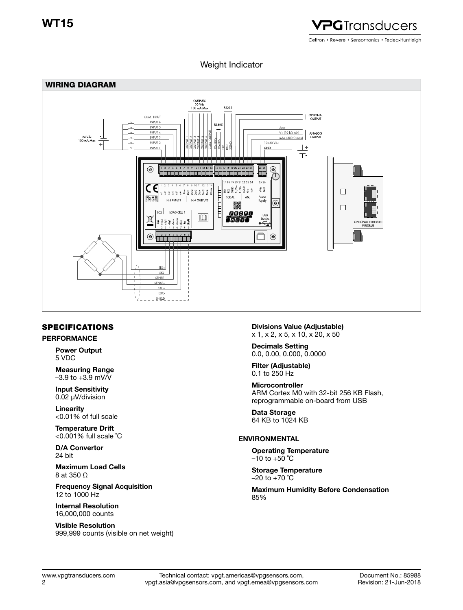

## Weight Indicator



## SPECIFICATIONS

## PERFORMANCE

Power Output 5 VDC

Measuring Range  $-3.9$  to  $+3.9$  mV/V

Input Sensitivity 0.02 μV/division

Linearity <0.01% of full scale

Temperature Drift <0.001% full scale ˚C

D/A Convertor 24 bit

Maximum Load Cells 8 at 350 O

Frequency Signal Acquisition 12 to 1000 Hz

Internal Resolution 16,000,000 counts

Visible Resolution 999,999 counts (visible on net weight) Divisions Value (Adjustable) x 1, x 2, x 5, x 10, x 20, x 50

Decimals Setting 0.0, 0.00, 0.000, 0.0000

Filter (Adjustable) 0.1 to 250 Hz

Microcontroller ARM Cortex M0 with 32-bit 256 KB Flash, reprogrammable on-board from USB

Data Storage 64 KB to 1024 KB

## ENVIRONMENTAL

Operating Temperature  $-10$  to  $+50$  °C

Storage Temperature  $-20$  to  $+70$  °C

Maximum Humidity Before Condensation 85%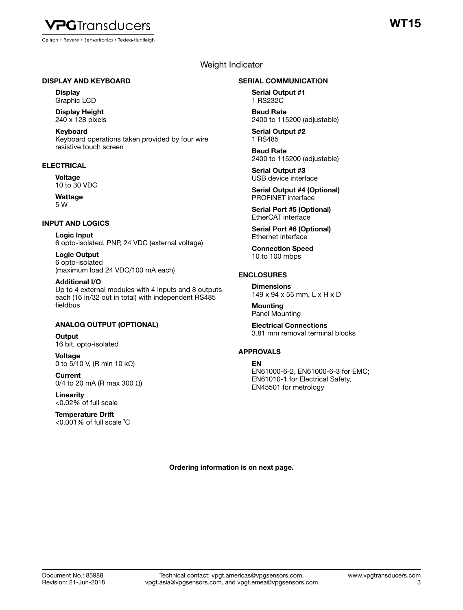

Celtron • Revere • Sensortronics • Tedea-Huntleigh

# T15

## Weight Indicator

#### DISPLAY AND KEYBOARD

**Display** Graphic LCD

Display Height 240 x 128 pixels

Keyboard Keyboard operations taken provided by four wire resistive touch screen

## **ELECTRICAL**

**Voltage** 10 to 30 VDC

Wattage 5 W

#### INPUT AND LOGICS

Logic Input 6 opto-isolated, PNP, 24 VDC (external voltage)

Logic Output 6 opto-isolated (maximum load 24 VDC/100 mA each)

Additional I/O Up to 4 external modules with 4 inputs and 8 outputs each (16 in/32 out in total) with independent RS485 fieldbus

## ANALOG OUTPUT (OPTIONAL)

**Output** 16 bit, opto-isolated

Voltage 0 to 5/10 V, (R min 10 kΩ)

**Current** 0/4 to 20 mA (R max 300 Ω)

Linearity <0.02% of full scale

Temperature Drift <0.001% of full scale ˚C

#### SERIAL COMMUNICATION

Serial Output #1 1 RS232C

Baud Rate 2400 to 115200 (adjustable)

Serial Output #2 1 RS485

Baud Rate 2400 to 115200 (adjustable)

Serial Output #3 USB device interface

Serial Output #4 (Optional) PROFINET interface

Serial Port #5 (Optional) EtherCAT interface

Serial Port #6 (Optional) Ethernet interface

Connection Speed 10 to 100 mbps

## ENCLOSURES

**Dimensions** 149 x 94 x 55 mm, L x H x D

Mounting Panel Mounting

Electrical Connections 3.81 mm removal terminal blocks

## APPROVALS

#### EN

EN61000-6-2, EN61000-6-3 for EMC; EN61010-1 for Electrical Safety, EN45501 for metrology

Ordering information is on next page.